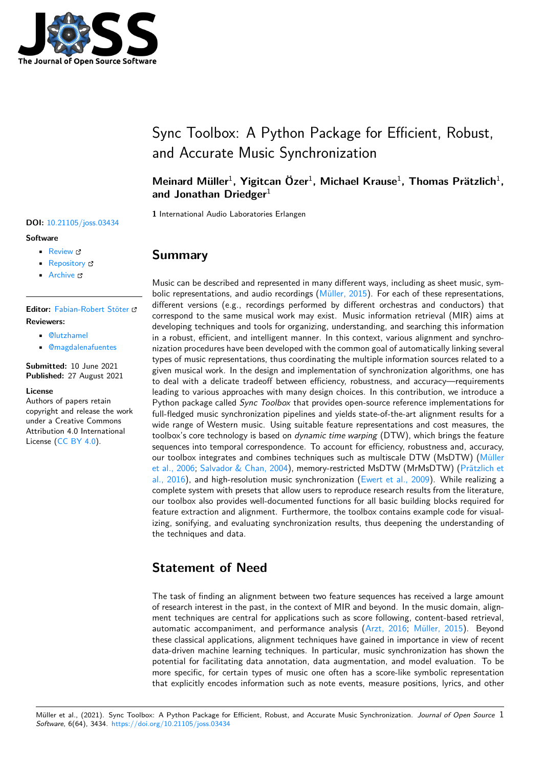

# Sync Toolbox: A Python Package for Efficient, Robust, and Accurate Music Synchronization

### Meinard Müller<sup>1</sup>, Yigitcan Özer<sup>1</sup>, Michael Krause<sup>1</sup>, Thomas Prätzlich<sup>1</sup>, **and Jonathan Driedger**<sup>1</sup>

**1** International Audio Laboratories Erlangen

### **Summary**

Music can be described and represented in many different ways, including as sheet music, symbolic representations, and audio recordings (Müller, 2015). For each of these representations, different versions (e.g., recordings performed by different orchestras and conductors) that correspond to the same musical work may exist. Music information retrieval (MIR) aims at developing techniques and tools for organizing, understanding, and searching this information in a robust, efficient, and intelligent manner[. In this cont](#page-2-0)ext, various alignment and synchronization procedures have been developed with the common goal of automatically linking several types of music representations, thus coordinating the multiple information sources related to a given musical work. In the design and implementation of synchronization algorithms, one has to deal with a delicate tradeoff between efficiency, robustness, and accuracy—requirements leading to various approaches with many design choices. In this contribution, we introduce a Python package called *Sync Toolbox* that provides open-source reference implementations for full-fledged music synchronization pipelines and yields state-of-the-art alignment results for a wide range of Western music. Using suitable feature representations and cost measures, the toolbox's core technology is based on *dynamic time warping* (DTW), which brings the feature sequences into temporal correspondence. To account for efficiency, robustness and, accuracy, our toolbox integrates and combines techniques such as multiscale DTW (MsDTW) (Müller et al., 2006; Salvador & Chan, 2004), memory-restricted MsDTW (MrMsDTW) (Prätzlich et al., 2016), and high-resolution music synchronization (Ewert et al., 2009). While realizing a complete system with presets that allow users to reproduce research results from the literature, our toolbox also provides well-documented functions for all basic building blocks requi[red for](#page-2-1) [feature extr](#page-2-1)[action and alignment. Fu](#page-3-0)rthermore, the toolbox contains example cod[e for visual](#page-2-2)[izing, son](#page-2-2)ifying, and evaluating synchronization results[, thus deepening th](#page-2-3)e understanding of the techniques and data.

# **Statement of Need**

The task of finding an alignment between two feature sequences has received a large amount of research interest in the past, in the context of MIR and beyond. In the music domain, alignment techniques are central for applications such as score following, content-based retrieval, automatic accompaniment, and performance analysis (Arzt, 2016; Müller, 2015). Beyond these classical applications, alignment techniques have gained in importance in view of recent data-driven machine learning techniques. In particular, music synchronization has shown the potential for facilitating data annotation, data augmentation, and model evaluation. To be more specific, for certain types of music one often has [a score-like](#page-2-4) [symbolic repr](#page-2-0)esentation that explicitly encodes information such as note events, measure positions, lyrics, and other

### **DOI:** 10.21105/joss.03434

#### **Software**

- Review &
- [Repository](https://doi.org/10.21105/joss.03434) &
- Archive

#### **Editor:** [Fabian-R](https://github.com/meinardmueller/synctoolbox)obert Stöter **Revie[wers:](https://doi.org/10.5281/zenodo.5288713)**

- @lutzhamel
- @[magdalenafuentes](https://faroit.com/)

**Submitted:** 10 June 2021 **Published:** [27 Au](https://github.com/lutzhamel)gust 2021

#### **License**

Autho[rs of papers retain](https://github.com/magdalenafuentes) copyright and release the work under a Creative Commons Attribution 4.0 International License (CC BY 4.0).

Müller et al., (2021). Sync Toolbox: A Python Package for Efficient, Robust, and Accurate Music Synchronization. *Journal of Open Source* 1*Software*, 6(64), 3434. https://doi.org/10.21105/joss.03434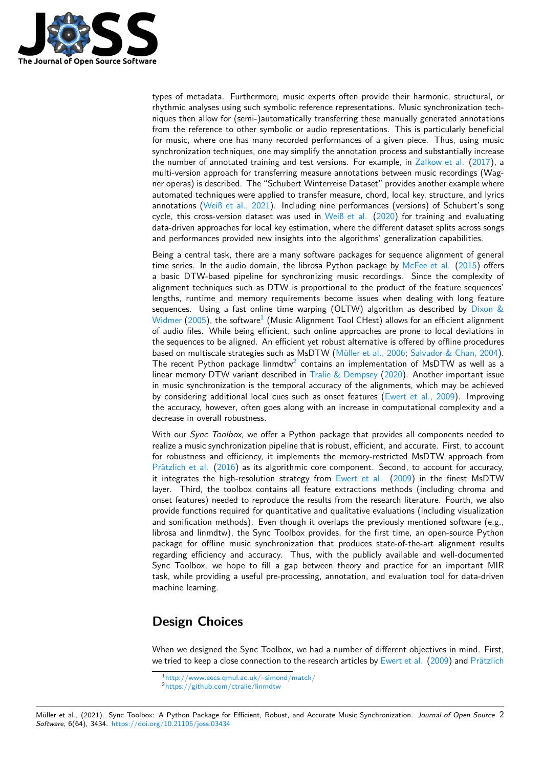

types of metadata. Furthermore, music experts often provide their harmonic, structural, or rhythmic analyses using such symbolic reference representations. Music synchronization techniques then allow for (semi-)automatically transferring these manually generated annotations from the reference to other symbolic or audio representations. This is particularly beneficial for music, where one has many recorded performances of a given piece. Thus, using music synchronization techniques, one may simplify the annotation process and substantially increase the number of annotated training and test versions. For example, in Zalkow et al. (2017), a multi-version approach for transferring measure annotations between music recordings (Wagner operas) is described. The "Schubert Winterreise Dataset" provides another example where automated techniques were applied to transfer measure, chord, local key, structure, and lyrics annotations (Weiß et al., 2021). Including nine performances (versi[ons\) of Schub](#page-3-1)e[rt's so](#page-3-1)ng cycle, this cross-version dataset was used in Weiß et al.  $(2020)$  for training and evaluating data-driven approaches for local key estimation, where the different dataset splits across songs and performances provided new insights into the algorithms' generalization capabilities.

Being a cent[ral task, there are](#page-3-2) a many software packages for sequence alignment of general time series. In the audio domain, the librosa [Python pac](#page-3-3)k[age by](#page-3-3) McFee et al. (2015) offers a basic DTW-based pipeline for synchronizing music recordings. Since the complexity of alignment techniques such as DTW is proportional to the product of the feature sequences' lengths, runtime and memory requirements become issues when dealing with long feature sequences. Using a fast online time warping (OLTW) algorith[m as described by](#page-2-5) Dixon &  $W$ idmer (2005), the software $^1$  (Music Alignment Tool CHest) allows for an efficient alignment of audio files. While being efficient, such online approaches are prone to local deviations in the sequences to be aligned. An efficient yet robust alternative is offered by offline procedures based on multiscale strategies such as MsDTW (Müller et al., 2006; Salvador & Cha[n, 2004\).](#page-2-6) [The recent Py](#page-2-6)thon package [l](#page-1-0)inmdtw<sup>2</sup> contains an implementation of MsDTW as well as a linear memory DTW variant described in Tralie  $&$  Dempsey (2020). Another important issue in music synchronization is the temporal accuracy of the alignments, which may be achieved by considering additional local cues such as on[set features \(Ewert](#page-2-1) [et al., 2009\). Improvin](#page-3-0)g the accuracy, however, often goes al[on](#page-1-1)g with an increase in computational complexity and a decrease in overall robustness.

With our *Sync Toolbox*, we offer a Python package that provides all components needed to realize a music synchronization pipeline that is robust, efficient[, and accurate. Firs](#page-2-3)t, to account for robustness and efficiency, it implements the memory-restricted MsDTW approach from Prätzlich et al. (2016) as its algorithmic core component. Second, to account for accuracy, it integrates the high-resolution strategy from Ewert et al. (2009) in the finest MsDTW layer. Third, the toolbox contains all feature extractions methods (including chroma and onset features) needed to reproduce the results from the research literature. Fourth, we also [provide function](#page-2-2)s [requ](#page-2-2)ired for quantitative and qualitative evaluations (including visualization and sonification methods). Even though it over[laps the prev](#page-2-3)io[usly m](#page-2-3)entioned software (e.g., librosa and linmdtw), the Sync Toolbox provides, for the first time, an open-source Python package for offline music synchronization that produces state-of-the-art alignment results regarding efficiency and accuracy. Thus, with the publicly available and well-documented Sync Toolbox, we hope to fill a gap between theory and practice for an important MIR task, while providing a useful pre-processing, annotation, and evaluation tool for data-driven machine learning.

# **Design Choices**

When we designed the Sync Toolbox, we had a number of different objectives in mind. First, we tried to keep a close connection to the research articles by Ewert et al. (2009) and Prätzlich

<sup>1</sup>http://www.eecs.qmul.ac.uk/~simond/match/

<span id="page-1-1"></span><span id="page-1-0"></span><sup>2</sup>https://github.com/ctralie/linmdtw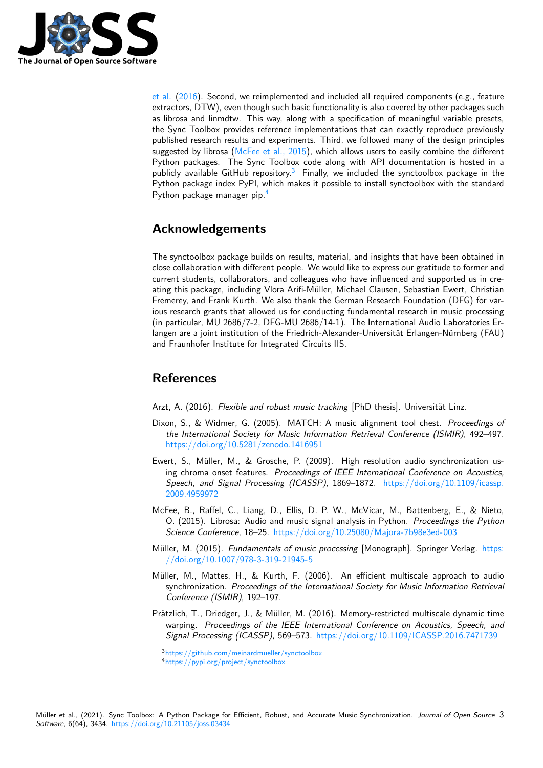

et al.  $(2016)$ . Second, we reimplemented and included all required components (e.g., feature extractors, DTW), even though such basic functionality is also covered by other packages such as librosa and linmdtw. This way, along with a specification of meaningful variable presets, the Sync Toolbox provides reference implementations that can exactly reproduce previously publis[hed re](#page-2-2)search results and experiments. Third, we followed many of the design principles suggested by librosa (McFee et al., 2015), which allows users to easily combine the different Python packages. The Sync Toolbox code along with API documentation is hosted in a publicly available GitHub repository.<sup>3</sup> Finally, we included the synctoolbox package in the Python package index PyPI, which makes it possible to install synctoolbox with the standard Python package man[ager pip.](#page-2-5)<sup>4</sup>

### **Acknowledgement[s](#page-2-7)**

The synctoolbox package builds on results, material, and insights that have been obtained in close collaboration with different people. We would like to express our gratitude to former and current students, collaborators, and colleagues who have influenced and supported us in creating this package, including Vlora Arifi-Müller, Michael Clausen, Sebastian Ewert, Christian Fremerey, and Frank Kurth. We also thank the German Research Foundation (DFG) for various research grants that allowed us for conducting fundamental research in music processing (in particular, MU 2686/7-2, DFG-MU 2686/14-1). The International Audio Laboratories Erlangen are a joint institution of the Friedrich-Alexander-Universität Erlangen-Nürnberg (FAU) and Fraunhofer Institute for Integrated Circuits IIS.

### **References**

Arzt, A. (2016). *Flexible and robust music tracking* [PhD thesis]. Universität Linz.

- Dixon, S., & Widmer, G. (2005). MATCH: A music alignment tool chest. *Proceedings of the International Society for Music Information Retrieval Conference (ISMIR)*, 492–497. https://doi.org/10.5281/zenodo.1416951
- <span id="page-2-6"></span><span id="page-2-4"></span>Ewert, S., Müller, M., & Grosche, P. (2009). High resolution audio synchronization using chroma onset features. *Proceedings of IEEE International Conference on Acoustics, [Speech, and Signal Processing \(ICASSP\)](https://doi.org/10.5281/zenodo.1416951)*, 1869–1872. https://doi.org/10.1109/icassp. 2009.4959972
- <span id="page-2-3"></span>McFee, B., Raffel, C., Liang, D., Ellis, D. P. W., McVicar, M., Battenberg, E., & Nieto, O. (2015). Librosa: Audio and music signal analysis in Python. *Proceedings the Python [Science Confe](https://doi.org/10.1109/icassp.2009.4959972)rence*, 18–25. https://doi.org/10.25080/M[ajora-7b98e3ed-003](https://doi.org/10.1109/icassp.2009.4959972)
- Müller, M. (2015). *Fundamentals of music processing* [Monograph]. Springer Verlag. https: //doi.org/10.1007/978-3-319-21945-5
- <span id="page-2-5"></span>Müller, M., Mattes, H., & K[urth, F. \(2006\). An efficient multiscale approa](https://doi.org/10.25080/Majora-7b98e3ed-003)ch to audio synchronization. *Proceedings of the International Society for Music Information Re[trieval](https://doi.org/10.1007/978-3-319-21945-5) [Conference \(ISMIR\)](https://doi.org/10.1007/978-3-319-21945-5)*, 192–197.
- <span id="page-2-1"></span><span id="page-2-0"></span>Prätzlich, T., Driedger, J., & Müller, M. (2016). Memory-restricted multiscale dynamic time warping. *Proceedings of the IEEE International Conference on Acoustics, Speech, and Signal Processing (ICASSP)*, 569–573. https://doi.org/10.1109/ICASSP.2016.7471739

<sup>3</sup>https://github.com/meinardmueller/synctoolbox

<span id="page-2-7"></span><span id="page-2-2"></span><sup>4</sup>https://pypi.org/project/synctoolbox